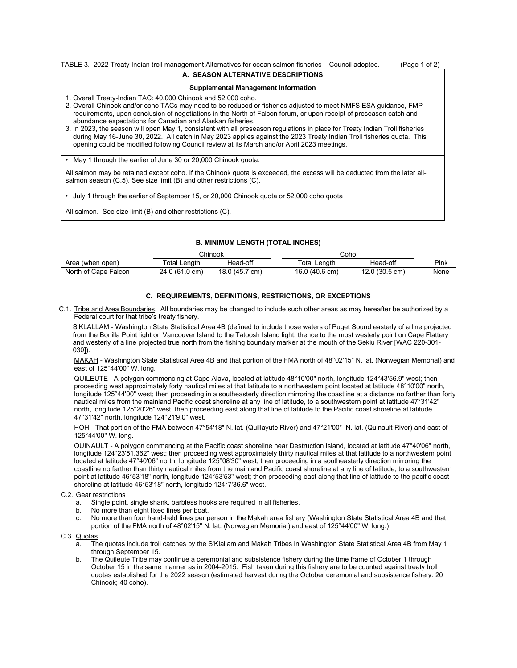| TABLE 3. 2022 Treaty Indian troll management Alternatives for ocean salmon fisheries – Council adopted.<br>(Page 1 of 2)                                                                                                                                                                                                                                                                                                                                                                                                                                                                                                                                                                                                     |  |  |  |  |  |  |
|------------------------------------------------------------------------------------------------------------------------------------------------------------------------------------------------------------------------------------------------------------------------------------------------------------------------------------------------------------------------------------------------------------------------------------------------------------------------------------------------------------------------------------------------------------------------------------------------------------------------------------------------------------------------------------------------------------------------------|--|--|--|--|--|--|
| A. SEASON ALTERNATIVE DESCRIPTIONS                                                                                                                                                                                                                                                                                                                                                                                                                                                                                                                                                                                                                                                                                           |  |  |  |  |  |  |
| <b>Supplemental Management Information</b>                                                                                                                                                                                                                                                                                                                                                                                                                                                                                                                                                                                                                                                                                   |  |  |  |  |  |  |
| 1. Overall Treaty-Indian TAC: 40,000 Chinook and 52,000 coho.<br>2. Overall Chinook and/or coho TACs may need to be reduced or fisheries adjusted to meet NMFS ESA quidance, FMP<br>requirements, upon conclusion of negotiations in the North of Falcon forum, or upon receipt of preseason catch and<br>abundance expectations for Canadian and Alaskan fisheries.<br>3. In 2023, the season will open May 1, consistent with all preseason regulations in place for Treaty Indian Troll fisheries<br>during May 16-June 30, 2022. All catch in May 2023 applies against the 2023 Treaty Indian Troll fisheries quota. This<br>opening could be modified following Council review at its March and/or April 2023 meetings. |  |  |  |  |  |  |
| • May 1 through the earlier of June 30 or 20,000 Chinook quota.                                                                                                                                                                                                                                                                                                                                                                                                                                                                                                                                                                                                                                                              |  |  |  |  |  |  |
| All salmon may be retained except coho. If the Chinook quota is exceeded, the excess will be deducted from the later all-<br>salmon season (C.5). See size limit (B) and other restrictions (C).                                                                                                                                                                                                                                                                                                                                                                                                                                                                                                                             |  |  |  |  |  |  |
| July 1 through the earlier of September 15, or 20,000 Chinook quota or 52,000 coho quota                                                                                                                                                                                                                                                                                                                                                                                                                                                                                                                                                                                                                                     |  |  |  |  |  |  |

All salmon. See size limit (B) and other restrictions (C).

## **B. MINIMUM LENGTH (TOTAL INCHES)**

|                      | Chinook            |                | Coho |                |                |      |
|----------------------|--------------------|----------------|------|----------------|----------------|------|
| Area (when open)     | $\tau$ otal Lenɑth | Head-off       |      | ™otal Lenαth   | Head-off       | Pink |
| North of Cape Falcon | 24.0 (61.0 cm)     | 18.0 (45.7 cm) |      | 16.0 (40.6 cm) | 12.0 (30.5 cm) | None |

## **C. REQUIREMENTS, DEFINITIONS, RESTRICTIONS, OR EXCEPTIONS**

C.1. Tribe and Area Boundaries. All boundaries may be changed to include such other areas as may hereafter be authorized by a Federal court for that tribe's treaty fishery.

S'KLALLAM - Washington State Statistical Area 4B (defined to include those waters of Puget Sound easterly of a line projected from the Bonilla Point light on Vancouver Island to the Tatoosh Island light, thence to the most westerly point on Cape Flattery and westerly of a line projected true north from the fishing boundary marker at the mouth of the Sekiu River [WAC 220-301- 030]).

MAKAH - Washington State Statistical Area 4B and that portion of the FMA north of 48°02'15" N. lat. (Norwegian Memorial) and east of 125°44'00" W. long.

QUILEUTE - A polygon commencing at Cape Alava, located at latitude 48°10'00" north, longitude 124°43'56.9" west; then proceeding west approximately forty nautical miles at that latitude to a northwestern point located at latitude 48°10'00" north, longitude 125°44'00" west; then proceeding in a southeasterly direction mirroring the coastline at a distance no farther than forty nautical miles from the mainland Pacific coast shoreline at any line of latitude, to a southwestern point at latitude 47°31'42" north, longitude 125°20'26" west; then proceeding east along that line of latitude to the Pacific coast shoreline at latitude 47°31'42" north, longitude 124°21'9.0" west.

HOH - That portion of the FMA between 47°54'18" N. lat. (Quillayute River) and 47°21'00" N. lat. (Quinault River) and east of 125°44'00" W. long.

QUINAULT - A polygon commencing at the Pacific coast shoreline near Destruction Island, located at latitude 47°40'06" north, longitude 124°23'51.362" west; then proceeding west approximately thirty nautical miles at that latitude to a northwestern point located at latitude 47°40'06" north, longitude 125°08'30" west; then proceeding in a southeasterly direction mirroring the coastline no farther than thirty nautical miles from the mainland Pacific coast shoreline at any line of latitude, to a southwestern point at latitude 46°53'18" north, longitude 124°53'53" west; then proceeding east along that line of latitude to the pacific coast shoreline at latitude 46°53'18" north, longitude 124°7'36.6" west.

## C.2. Gear restrictions

- a. Single point, single shank, barbless hooks are required in all fisheries.
- No more than eight fixed lines per boat.
- c. No more than four hand-held lines per person in the Makah area fishery (Washington State Statistical Area 4B and that portion of the FMA north of 48°02'15" N. lat. (Norwegian Memorial) and east of 125°44'00" W. long.)

C.3. Quotas

- a. The quotas include troll catches by the S'Klallam and Makah Tribes in Washington State Statistical Area 4B from May 1 through September 15.
- b. The Quileute Tribe may continue a ceremonial and subsistence fishery during the time frame of October 1 through October 15 in the same manner as in 2004-2015. Fish taken during this fishery are to be counted against treaty troll quotas established for the 2022 season (estimated harvest during the October ceremonial and subsistence fishery: 20 Chinook; 40 coho).